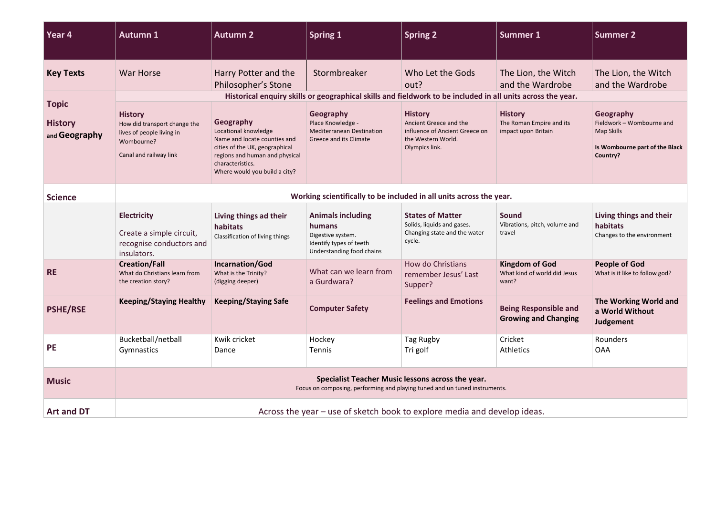| Year 4                                          | <b>Autumn 1</b>                                                                                                                 | <b>Autumn 2</b>                                                                                                                                                                            | <b>Spring 1</b>                                                                                                 | Spring <sub>2</sub>                                                                                                | <b>Summer 1</b>                                                   | <b>Summer 2</b>                                                                                    |  |  |
|-------------------------------------------------|---------------------------------------------------------------------------------------------------------------------------------|--------------------------------------------------------------------------------------------------------------------------------------------------------------------------------------------|-----------------------------------------------------------------------------------------------------------------|--------------------------------------------------------------------------------------------------------------------|-------------------------------------------------------------------|----------------------------------------------------------------------------------------------------|--|--|
| <b>Key Texts</b>                                | <b>War Horse</b>                                                                                                                | Harry Potter and the<br>Philosopher's Stone                                                                                                                                                | Stormbreaker                                                                                                    | Who Let the Gods<br>out?                                                                                           | The Lion, the Witch<br>and the Wardrobe                           | The Lion, the Witch<br>and the Wardrobe                                                            |  |  |
| <b>Topic</b><br><b>History</b><br>and Geography | Historical enquiry skills or geographical skills and fieldwork to be included in all units across the year.                     |                                                                                                                                                                                            |                                                                                                                 |                                                                                                                    |                                                                   |                                                                                                    |  |  |
|                                                 | <b>History</b><br>How did transport change the<br>lives of people living in<br>Wombourne?<br>Canal and railway link             | Geography<br>Locational knowledge<br>Name and locate counties and<br>cities of the UK, geographical<br>regions and human and physical<br>characteristics.<br>Where would you build a city? | Geography<br>Place Knowledge -<br><b>Mediterranean Destination</b><br>Greece and its Climate                    | <b>History</b><br>Ancient Greece and the<br>influence of Ancient Greece on<br>the Western World.<br>Olympics link. | <b>History</b><br>The Roman Empire and its<br>impact upon Britain | Geography<br>Fieldwork - Wombourne and<br>Map Skills<br>Is Wombourne part of the Black<br>Country? |  |  |
| <b>Science</b>                                  | Working scientifically to be included in all units across the year.                                                             |                                                                                                                                                                                            |                                                                                                                 |                                                                                                                    |                                                                   |                                                                                                    |  |  |
|                                                 | <b>Electricity</b><br>Create a simple circuit,<br>recognise conductors and<br>insulators.                                       | Living things ad their<br>habitats<br>Classification of living things                                                                                                                      | <b>Animals including</b><br>humans<br>Digestive system.<br>Identify types of teeth<br>Understanding food chains | <b>States of Matter</b><br>Solids, liquids and gases.<br>Changing state and the water<br>cycle.                    | Sound<br>Vibrations, pitch, volume and<br>travel                  | Living things and their<br>habitats<br>Changes to the environment                                  |  |  |
| <b>RE</b>                                       | <b>Creation/Fall</b><br>What do Christians learn from<br>the creation story?                                                    | Incarnation/God<br>What is the Trinity?<br>(digging deeper)                                                                                                                                | What can we learn from<br>a Gurdwara?                                                                           | How do Christians<br>remember Jesus' Last<br>Supper?                                                               | <b>Kingdom of God</b><br>What kind of world did Jesus<br>want?    | <b>People of God</b><br>What is it like to follow god?                                             |  |  |
| <b>PSHE/RSE</b>                                 | <b>Keeping/Staying Healthy</b>                                                                                                  | <b>Keeping/Staying Safe</b>                                                                                                                                                                | <b>Computer Safety</b>                                                                                          | <b>Feelings and Emotions</b>                                                                                       | <b>Being Responsible and</b><br><b>Growing and Changing</b>       | The Working World and<br>a World Without<br>Judgement                                              |  |  |
| <b>PE</b>                                       | Bucketball/netball<br>Gymnastics                                                                                                | Kwik cricket<br>Dance                                                                                                                                                                      | Hockey<br>Tennis                                                                                                | Tag Rugby<br>Tri golf                                                                                              | Cricket<br><b>Athletics</b>                                       | Rounders<br><b>OAA</b>                                                                             |  |  |
| <b>Music</b>                                    | Specialist Teacher Music lessons across the year.<br>Focus on composing, performing and playing tuned and un tuned instruments. |                                                                                                                                                                                            |                                                                                                                 |                                                                                                                    |                                                                   |                                                                                                    |  |  |
| <b>Art and DT</b>                               | Across the year – use of sketch book to explore media and develop ideas.                                                        |                                                                                                                                                                                            |                                                                                                                 |                                                                                                                    |                                                                   |                                                                                                    |  |  |